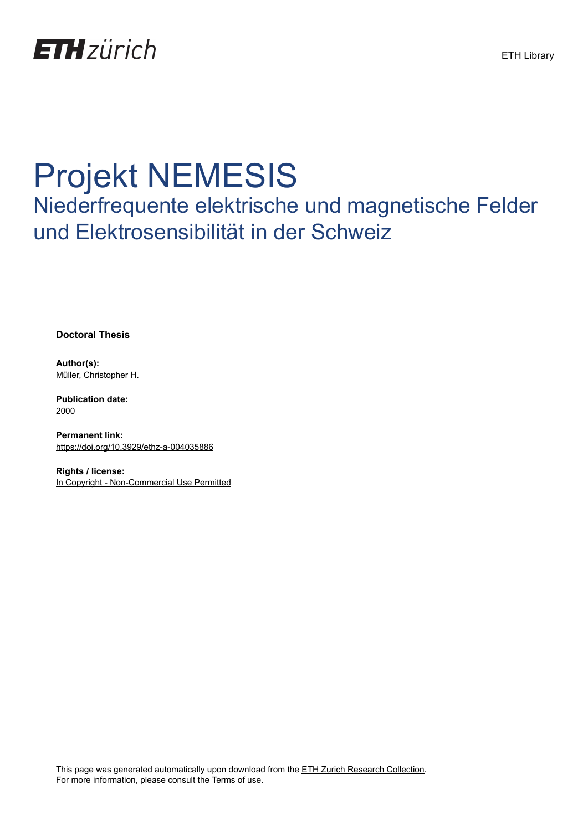

# Projekt NEMESIS

Niederfrequente elektrische und magnetische Felder und Elektrosensibilität in der Schweiz

**Doctoral Thesis**

**Author(s):** Müller, Christopher H.

**Publication date:** 2000

**Permanent link:** <https://doi.org/10.3929/ethz-a-004035886>

**Rights / license:** [In Copyright - Non-Commercial Use Permitted](http://rightsstatements.org/page/InC-NC/1.0/)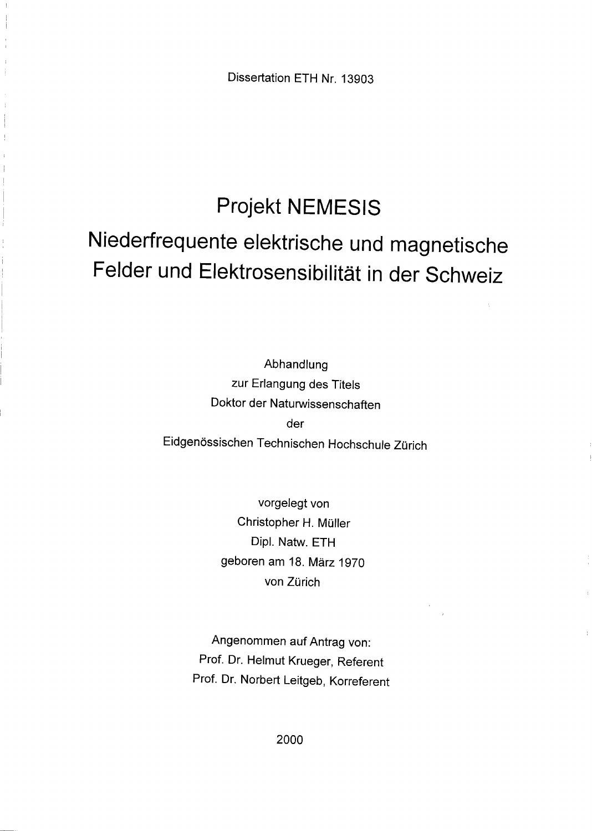Dissertation ETH Nr. 13903

### Projekt NEMESIS

## Niederfrequente elektrische und magnetische Felder und Elektrosensibilität in der Schweiz

Abhandlung zur Erlangung des Titels Doktor der Naturwissenschaften der Eidgenössischen Technischen Hochschule Zürich

> vorgelegt von Christopher H. Müller Dipl. Natw. ETH geboren am 18. März 1970 von Zürich

Angenommen auf Antrag von: Prof. Dr. Helmut Krueger, Referent Prof. Dr. Norbert Leitgeb, Korreferent

2000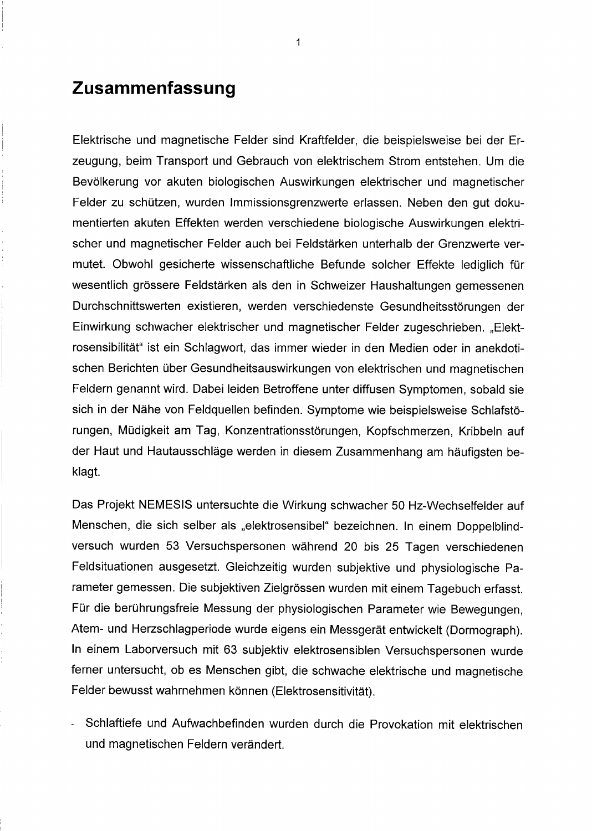### Zusammenfassung

Elektrische und magnetische Felder sind Kraftfelder, die beispielsweise bei der Erzeugung, beim Transport und Gebrauch von elektrischem Strom entstehen. Um die Bevölkerung vor akuten biologischen Auswirkungen elektrischer und magnetischer Felder zu schützen, wurden Immissionsgrenzwerte erlassen. Neben den gut dokumentierten akuten Effekten werden verschiedene biologische Auswirkungen elektrischer und magnetischer Felder auch bei Feldstärken unterhalb der Grenzwerte vermutet. Obwohl gesicherte wissenschaftliche Befunde solcher Effekte lediglich für wesentlich grössere Feldstärken als den in Schweizer Haushaltungen gemessenen Durchschnittswerten existieren, werden verschiedenste Gesundheitsstörungen der Einwirkung schwacher elektrischer und magnetischer Felder zugeschrieben. "Elektrosensibilität" ist ein Schlagwort, das immer wieder in den Medien oder in anekdotischen Berichten über Gesundheitsauswirkungen von elektrischen und magnetischen Feldern genannt wird. Dabei leiden Betroffene unter diffusen Symptomen, sobald sie sich in der Nähe von Feldquellen befinden. Symptome wie beispielsweise Schlafstörungen, Müdigkeit am Tag, Konzentrationsstörungen, Kopfschmerzen, Kribbeln auf der Haut und Hautausschläge werden in diesem Zusammenhang am häufigsten beklagt.

Das Projekt NEMESIS untersuchte die Wirkung schwacher 50 Hz-Wechselfelder auf Menschen, die sich selber als "elektrosensibel" bezeichnen. In einem Doppelblindversuch wurden 53 Versuchspersonen während 20 bis 25 Tagen verschiedenen Feldsituationen ausgesetzt. Gleichzeitig wurden subjektive und physiologische Parameter gemessen. Die subjektiven Zielgrössenwurden mit einem Tagebuch erfasst. Für die berührungsfreie Messung der physiologischen Parameter wie Bewegungen, Atem- und Herzschlagperiode wurde eigens ein Messgerät entwickelt (Dormograph). In einem Laborversuch mit 63 subjektiv elektrosensiblen Versuchspersonen wurde ferner untersucht, ob es Menschen gibt, die schwache elektrische und magnetische Felder bewusst wahrnehmen können (Elektrosensitivität).

- Schlaftiefe und Aufwachbefinden wurden durch die Provokation mit elektrischen und magnetischen Feldern verändert.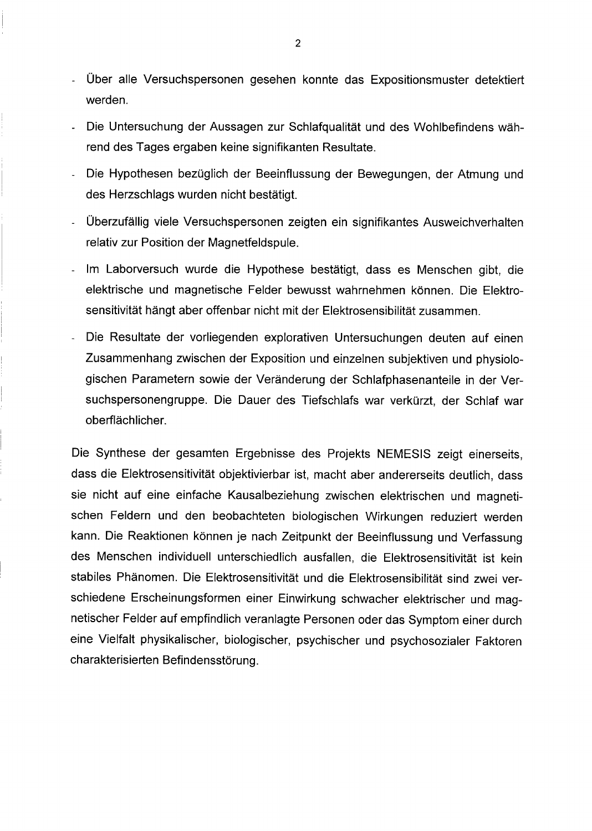- Über alle Versuchspersonen gesehen konnte das Expositionsmuster detektiert werden.
- Die Untersuchung der Aussagen zur Schlafqualität und des Wohlbefindens während des Tages ergaben keine signifikanten Resultate.
- Die Hypothesen bezüglich der Beeinflussung der Bewegungen, der Atmung und des Herzschlags wurden nicht bestätigt.
- Uberzufällig viele Versuchspersonen zeigten ein signifikantes Ausweichverhalten relativ zur Position der Magnetfeldspule.
- Im Laborversuch wurde die Hypothese bestätigt, dass es Menschen gibt, die elektrische und magnetische Felder bewusst wahrnehmen können. Die Elektrosensitivität hängt aber offenbar nicht mit der Elektrosensibilität zusammen.
- Die Resultate der vorliegenden explorativen Untersuchungen deuten auf einen Zusammenhang zwischen der Exposition und einzelnen subjektiven und physiologischen Parametern sowie der Veränderung der Schlafphasenanteile in der Versuchspersonengruppe. Die Dauer des Tiefschlafs war verkürzt, der Schlaf war oberflächlicher.

Die Synthese der gesamten Ergebnisse des Projekts NEMESIS zeigt einerseits, dass die Elektrosensitivität objektivierbar ist, macht aber andererseits deutlich, dass sie nicht auf eine einfache Kausalbeziehung zwischen elektrischen und magnetischen Feldern und den beobachteten biologischen Wirkungen reduziert werden kann. Die Reaktionen können je nach Zeitpunkt der Beeinflussung und Verfassung des Menschen individuell unterschiedlich ausfallen, die Elektrosensitivität ist kein stabiles Phänomen. Die Elektrosensitivität und die Elektrosensibilität sind zwei verschiedene Erscheinungsformen einer Einwirkung schwacher elektrischer und magnetischer Felder auf empfindlich veranlagte Personen oder das Symptom einer durch eine Vielfalt physikalischer, biologischer, psychischer und psychosozialer Faktoren charakterisierten Befindensstörung.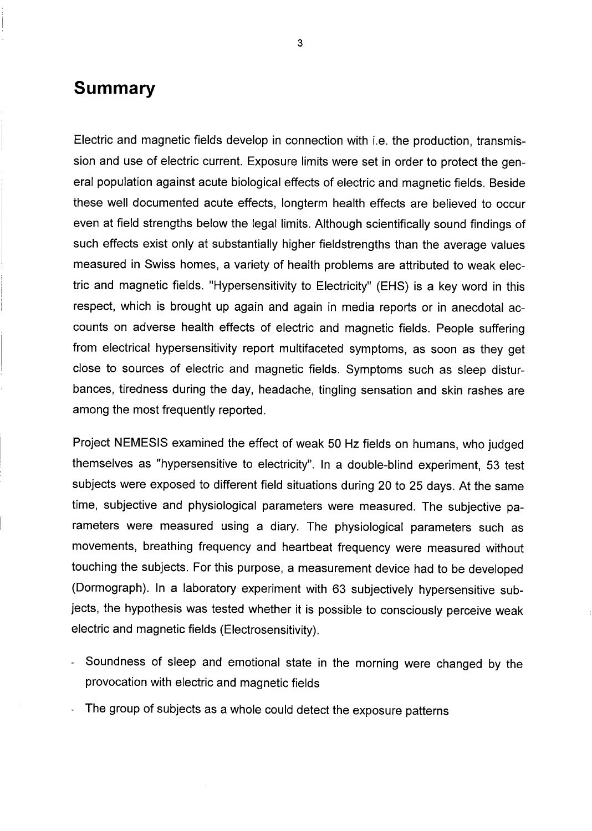#### Summary

Electric and magnetic fields develop in connection with i.e. the production, transmission and use of electric current. Exposure limits were set in order to protect the general population against acute biological effects of electric and magnetic fields. Beside these well documented acute effects, longterm health effects are believed to occur even at field strengths below the legal limits. Although scientifically sound findings of such effects exist only at substantially higher fieldstrengths than the average values measured in Swiss homes, a variety of health problems are attributed to weak electric and magnetic fields. "Hypersensitivity to Electricity" (EHS) is a key word in this respect, which is brought up again and again in media reports or in anecdotal accounts on adverse health effects of electric and magnetic fields. People suffering from electrical hypersensitivity report multifaceted Symptoms, as soon as they get dose to sources of electric and magnetic fields. Symptoms such as sleep disturbances, tiredness during the day, headache, tingling Sensation and skin rashes are among the most frequently reported.

Project NEMESIS examined the effect of weak <sup>50</sup> Hz fields on humans, who judged themselves as "hypersensitive to electricity". In a double-blind experiment, 53 test subjects were exposed to different field situations during 20 to 25 days. At the same time, subjective and physiological parameters were measured. The subjective parameters were measured using <sup>a</sup> diary. The physiological parameters such as movements, breathing frequency and heartbeat frequency were measured without touching the subjects. For this purpose, a measurement device had to be developed (Dormograph). In a laboratory experiment with 63 subjectively hypersensitive subjects, the hypothesis was tested whether it is possible to consciously perceive weak electric and magnetic fields (Electrosensitivity).

- Soundness of sleep and emotional state in the morning were changed by the provocation with electric and magnetic fields
- The group of subjects as a whole could detect the exposure patterns